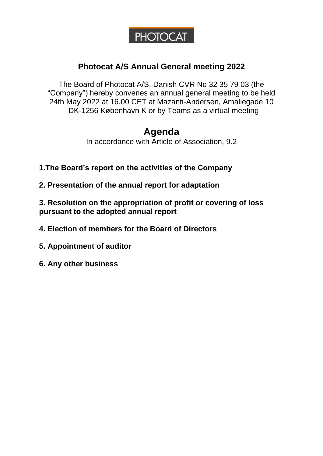# **PHOTOCAT**

#### **Photocat A/S Annual General meeting 2022**

The Board of Photocat A/S, Danish CVR No 32 35 79 03 (the "Company") hereby convenes an annual general meeting to be held 24th May 2022 at 16.00 CET at Mazanti-Andersen, Amaliegade 10 DK-1256 København K or by Teams as a virtual meeting

## **Agenda**

In accordance with Article of Association, 9.2

**1.The Board's report on the activities of the Company**

**2. Presentation of the annual report for adaptation**

**3. Resolution on the appropriation of profit or covering of loss pursuant to the adopted annual report**

- **4. Election of members for the Board of Directors**
- **5. Appointment of auditor**
- **6. Any other business**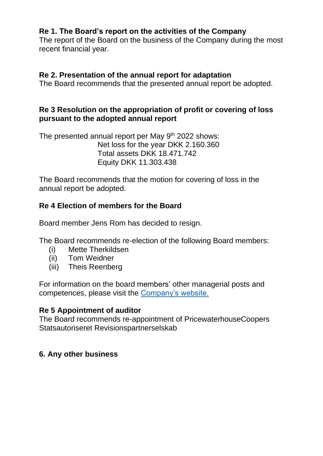#### **Re 1. The Board's report on the activities of the Company**

The report of the Board on the business of the Company during the most recent financial year.

#### **Re 2. Presentation of the annual report for adaptation**

The Board recommends that the presented annual report be adopted.

#### **Re 3 Resolution on the appropriation of profit or covering of loss pursuant to the adopted annual report**

The presented annual report per May 9<sup>th</sup> 2022 shows: Net loss for the year DKK 2.160.360 Total assets DKK 18.471.742 Equity DKK 11.303.438

The Board recommends that the motion for covering of loss in the annual report be adopted.

#### **Re 4 Election of members for the Board**

Board member Jens Rom has decided to resign.

The Board recommends re-election of the following Board members:

- (i) Mette Therkildsen
- (ii) Tom Weidner
- (iii) Theis Reenberg

For information on the board members' other managerial posts and competences, please visit the [Company's website.](https://www.photocat.net/investor/board-of-directors-and-management/)

#### **Re 5 Appointment of auditor**

The Board recommends re-appointment of PricewaterhouseCoopers Statsautoriseret Revisionspartnerselskab

#### **6. Any other business**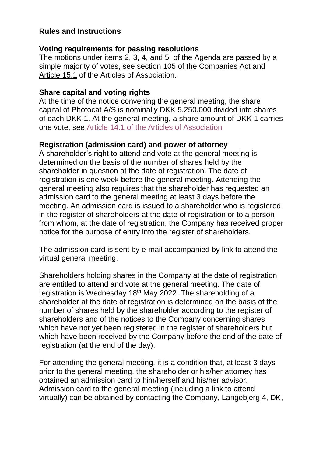#### **Rules and Instructions**

#### **Voting requirements for passing resolutions**

The motions under items 2, 3, 4, and 5 of the Agenda are passed by a simple majority of votes, see section [105 of the Companies Act and](https://usercontent.one/wp/www.photocat.net/wp-content/uploads/2021/03/April-2019_AoA.pdf)  [Article 15.1](https://usercontent.one/wp/www.photocat.net/wp-content/uploads/2021/03/April-2019_AoA.pdf) of the Articles of Association.

#### **Share capital and voting rights**

At the time of the notice convening the general meeting, the share capital of Photocat A/S is nominally DKK 5.250.000 divided into shares of each DKK 1. At the general meeting, a share amount of DKK 1 carries one vote, see [Article 14.1 of the Articles of Association](../../../../Investor%20Relations/Governance%20Documentation/Articles%20of%20Association/Articles%20of%20Association_adopted_on_May_26th_2021.pdf)

#### **Registration (admission card) and power of attorney**

A shareholder's right to attend and vote at the general meeting is determined on the basis of the number of shares held by the shareholder in question at the date of registration. The date of registration is one week before the general meeting. Attending the general meeting also requires that the shareholder has requested an admission card to the general meeting at least 3 days before the meeting. An admission card is issued to a shareholder who is registered in the register of shareholders at the date of registration or to a person from whom, at the date of registration, the Company has received proper notice for the purpose of entry into the register of shareholders.

The admission card is sent by e-mail accompanied by link to attend the virtual general meeting.

Shareholders holding shares in the Company at the date of registration are entitled to attend and vote at the general meeting. The date of registration is Wednesday 18<sup>th</sup> May 2022. The shareholding of a shareholder at the date of registration is determined on the basis of the number of shares held by the shareholder according to the register of shareholders and of the notices to the Company concerning shares which have not yet been registered in the register of shareholders but which have been received by the Company before the end of the date of registration (at the end of the day).

For attending the general meeting, it is a condition that, at least 3 days prior to the general meeting, the shareholder or his/her attorney has obtained an admission card to him/herself and his/her advisor. Admission card to the general meeting (including a link to attend virtually) can be obtained by contacting the Company, Langebjerg 4, DK,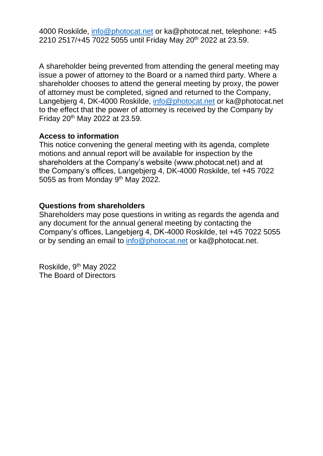4000 Roskilde, [info@photocat.net](mailto:info@photocat.net) or ka@photocat.net, telephone: +45 2210 2517/+45 7022 5055 until Friday May 20<sup>th</sup> 2022 at 23.59.

A shareholder being prevented from attending the general meeting may issue a power of attorney to the Board or a named third party. Where a shareholder chooses to attend the general meeting by proxy, the power of attorney must be completed, signed and returned to the Company, Langebjerg 4, DK-4000 Roskilde, [info@photocat.net](mailto:info@photocat.net) or ka@photocat.net to the effect that the power of attorney is received by the Company by Friday 20<sup>th</sup> May 2022 at 23.59.

#### **Access to information**

This notice convening the general meeting with its agenda, complete motions and annual report will be available for inspection by the shareholders at the Company's website (www.photocat.net) and at the Company's offices, Langebjerg 4, DK-4000 Roskilde, tel +45 7022 5055 as from Monday 9<sup>th</sup> May 2022.

#### **Questions from shareholders**

Shareholders may pose questions in writing as regards the agenda and any document for the annual general meeting by contacting the Company's offices, Langebjerg 4, DK-4000 Roskilde, tel +45 7022 5055 or by sending an email to [info@photocat.net](mailto:info@photocat.net) or ka@photocat.net.

Roskilde, 9<sup>th</sup> May 2022 The Board of Directors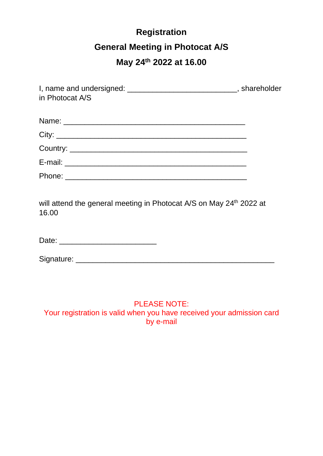# **Registration General Meeting in Photocat A/S**

## **May 24th 2022 at 16.00**

| I, name and undersigned: _______________________________, shareholder<br>in Photocat A/S |  |
|------------------------------------------------------------------------------------------|--|
|                                                                                          |  |
|                                                                                          |  |
|                                                                                          |  |
|                                                                                          |  |
|                                                                                          |  |
| will attend the general meeting in Photocat A/S on May 24 <sup>th</sup> 2022 at<br>16.00 |  |
|                                                                                          |  |
|                                                                                          |  |

#### PLEASE NOTE: Your registration is valid when you have received your admission card by e-mail